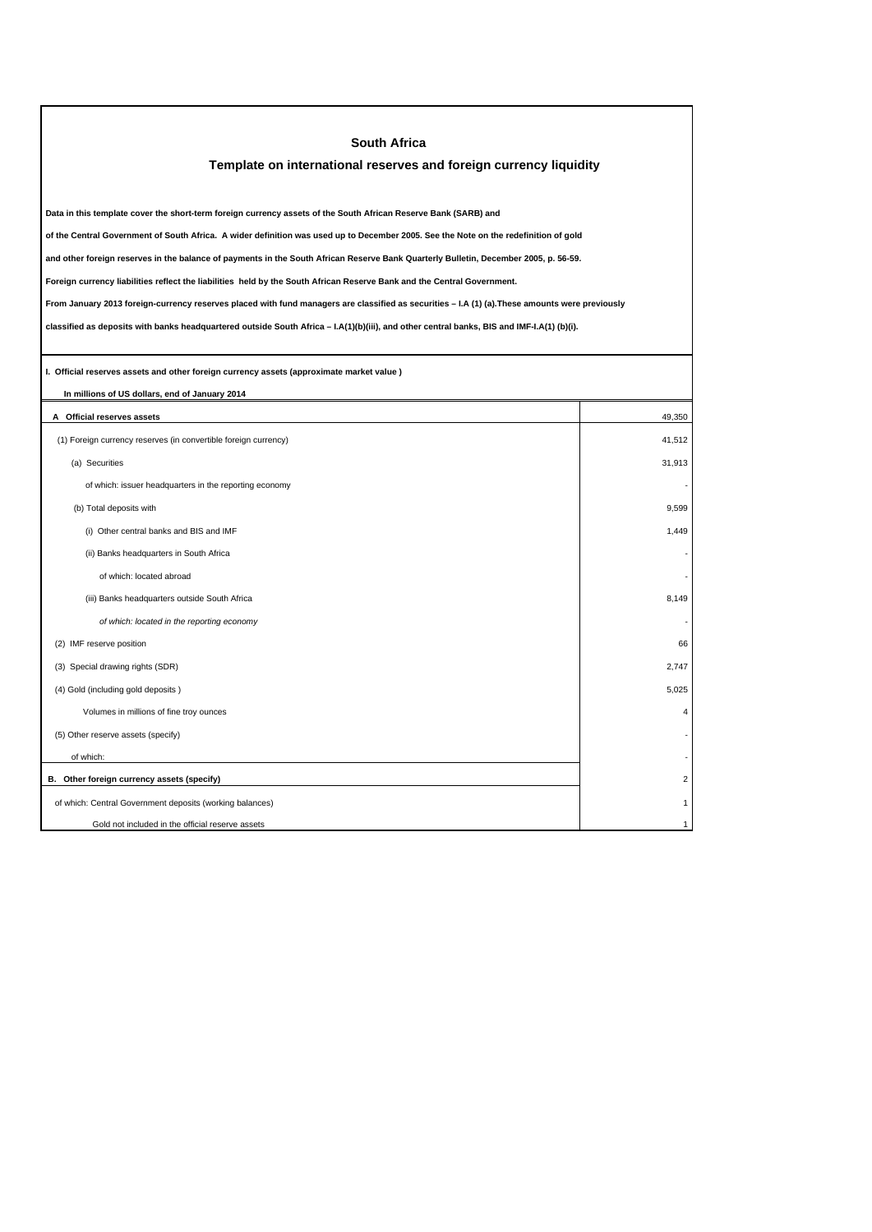| <b>South Africa</b>                                                                                                                             |        |  |  |
|-------------------------------------------------------------------------------------------------------------------------------------------------|--------|--|--|
| Template on international reserves and foreign currency liquidity                                                                               |        |  |  |
|                                                                                                                                                 |        |  |  |
| Data in this template cover the short-term foreign currency assets of the South African Reserve Bank (SARB) and                                 |        |  |  |
| of the Central Government of South Africa. A wider definition was used up to December 2005. See the Note on the redefinition of gold            |        |  |  |
| and other foreign reserves in the balance of payments in the South African Reserve Bank Quarterly Bulletin, December 2005, p. 56-59.            |        |  |  |
| Foreign currency liabilities reflect the liabilities held by the South African Reserve Bank and the Central Government.                         |        |  |  |
| From January 2013 foreign-currency reserves placed with fund managers are classified as securities - I.A (1) (a). These amounts were previously |        |  |  |
| classified as deposits with banks headquartered outside South Africa - I.A(1)(b)(iii), and other central banks, BIS and IMF-I.A(1) (b)(i).      |        |  |  |
|                                                                                                                                                 |        |  |  |
| I. Official reserves assets and other foreign currency assets (approximate market value)                                                        |        |  |  |
| In millions of US dollars, end of January 2014                                                                                                  |        |  |  |
| A Official reserves assets                                                                                                                      | 49,350 |  |  |
| (1) Foreign currency reserves (in convertible foreign currency)                                                                                 | 41,512 |  |  |
| (a) Securities                                                                                                                                  | 31,913 |  |  |
| of which: issuer headquarters in the reporting economy                                                                                          |        |  |  |
| (b) Total deposits with                                                                                                                         | 9,599  |  |  |
| (i) Other central banks and BIS and IMF                                                                                                         | 1.449  |  |  |
| (ii) Banks headquarters in South Africa                                                                                                         |        |  |  |
| of which: located abroad                                                                                                                        |        |  |  |
| (iii) Banks headquarters outside South Africa                                                                                                   | 8,149  |  |  |
| of which: located in the reporting economy                                                                                                      |        |  |  |
| (2) IMF reserve position                                                                                                                        | 66     |  |  |
| (3) Special drawing rights (SDR)                                                                                                                | 2.747  |  |  |
| (4) Gold (including gold deposits)                                                                                                              | 5,025  |  |  |
| Volumes in millions of fine troy ounces                                                                                                         | 4      |  |  |
| (5) Other reserve assets (specify)                                                                                                              |        |  |  |
| of which:                                                                                                                                       |        |  |  |
| B. Other foreign currency assets (specify)                                                                                                      | 2      |  |  |
| of which: Central Government deposits (working balances)                                                                                        |        |  |  |
| Gold not included in the official reserve assets                                                                                                | 1      |  |  |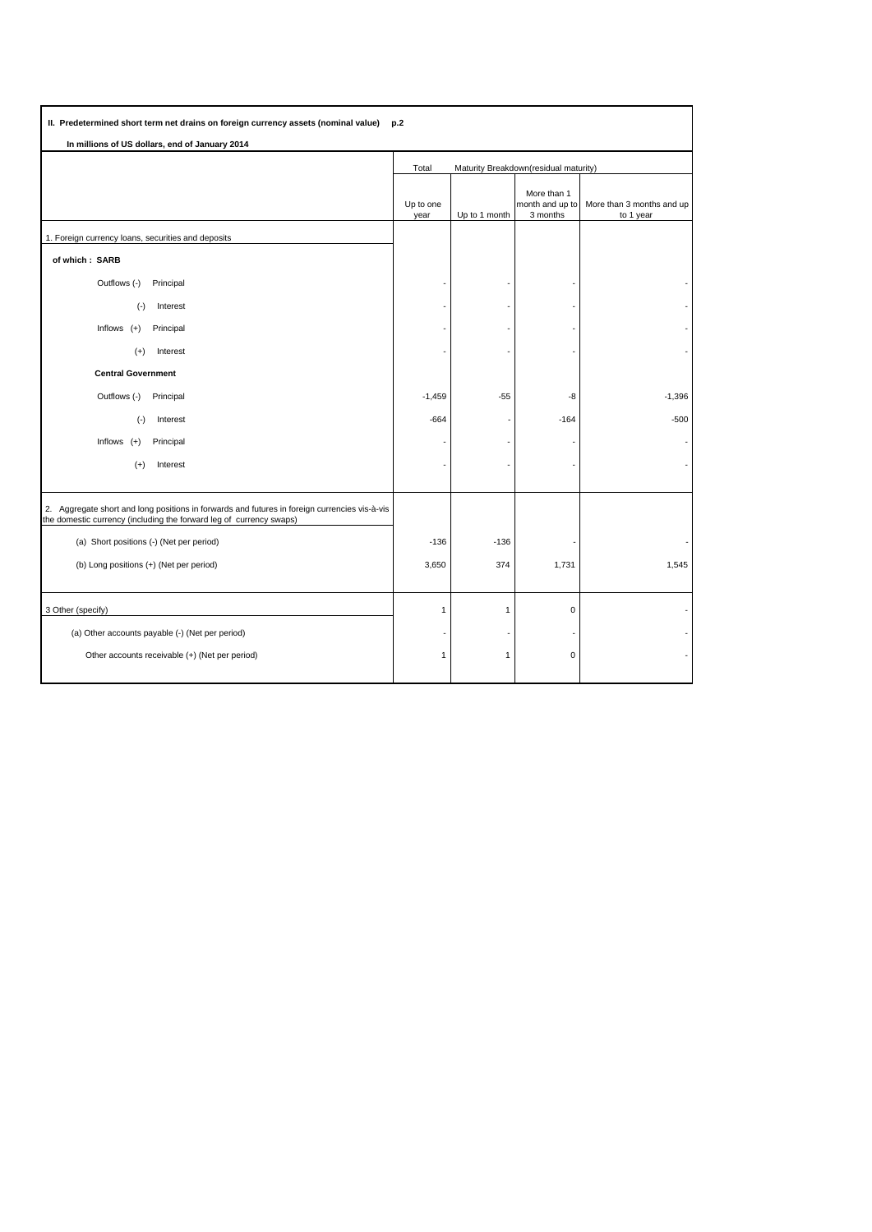| II. Predetermined short term net drains on foreign currency assets (nominal value)<br>p.2                                                                            |                                                |               |                                            |                                        |  |  |  |  |  |
|----------------------------------------------------------------------------------------------------------------------------------------------------------------------|------------------------------------------------|---------------|--------------------------------------------|----------------------------------------|--|--|--|--|--|
| In millions of US dollars, end of January 2014                                                                                                                       |                                                |               |                                            |                                        |  |  |  |  |  |
|                                                                                                                                                                      | Maturity Breakdown(residual maturity)<br>Total |               |                                            |                                        |  |  |  |  |  |
|                                                                                                                                                                      | Up to one<br>year                              | Up to 1 month | More than 1<br>month and up to<br>3 months | More than 3 months and up<br>to 1 year |  |  |  |  |  |
| 1. Foreign currency loans, securities and deposits                                                                                                                   |                                                |               |                                            |                                        |  |  |  |  |  |
| of which: SARB                                                                                                                                                       |                                                |               |                                            |                                        |  |  |  |  |  |
| Outflows (-)<br>Principal                                                                                                                                            |                                                |               |                                            |                                        |  |  |  |  |  |
| $(\cdot)$<br>Interest                                                                                                                                                |                                                |               |                                            |                                        |  |  |  |  |  |
| Inflows $(+)$<br>Principal                                                                                                                                           |                                                |               |                                            |                                        |  |  |  |  |  |
| Interest<br>$(+)$                                                                                                                                                    |                                                |               |                                            |                                        |  |  |  |  |  |
| <b>Central Government</b>                                                                                                                                            |                                                |               |                                            |                                        |  |  |  |  |  |
| Outflows (-)<br>Principal                                                                                                                                            | $-1,459$                                       | $-55$         | -8                                         | $-1,396$                               |  |  |  |  |  |
| $(-)$<br>Interest                                                                                                                                                    | $-664$                                         |               | $-164$                                     | $-500$                                 |  |  |  |  |  |
| Inflows $(+)$<br>Principal                                                                                                                                           |                                                |               |                                            |                                        |  |  |  |  |  |
| $(+)$<br>Interest                                                                                                                                                    |                                                |               |                                            |                                        |  |  |  |  |  |
|                                                                                                                                                                      |                                                |               |                                            |                                        |  |  |  |  |  |
| 2. Aggregate short and long positions in forwards and futures in foreign currencies vis-à-vis<br>the domestic currency (including the forward leg of currency swaps) |                                                |               |                                            |                                        |  |  |  |  |  |
| (a) Short positions (-) (Net per period)                                                                                                                             | $-136$                                         | $-136$        |                                            |                                        |  |  |  |  |  |
| (b) Long positions (+) (Net per period)                                                                                                                              | 3,650                                          | 374           | 1,731                                      | 1,545                                  |  |  |  |  |  |
|                                                                                                                                                                      |                                                |               |                                            |                                        |  |  |  |  |  |
| 3 Other (specify)                                                                                                                                                    | $\mathbf{1}$                                   | 1             | $\pmb{0}$                                  |                                        |  |  |  |  |  |
| (a) Other accounts payable (-) (Net per period)                                                                                                                      |                                                |               |                                            |                                        |  |  |  |  |  |
| Other accounts receivable (+) (Net per period)                                                                                                                       | $\overline{1}$                                 | $\mathbf{1}$  | $\mathbf 0$                                |                                        |  |  |  |  |  |
|                                                                                                                                                                      |                                                |               |                                            |                                        |  |  |  |  |  |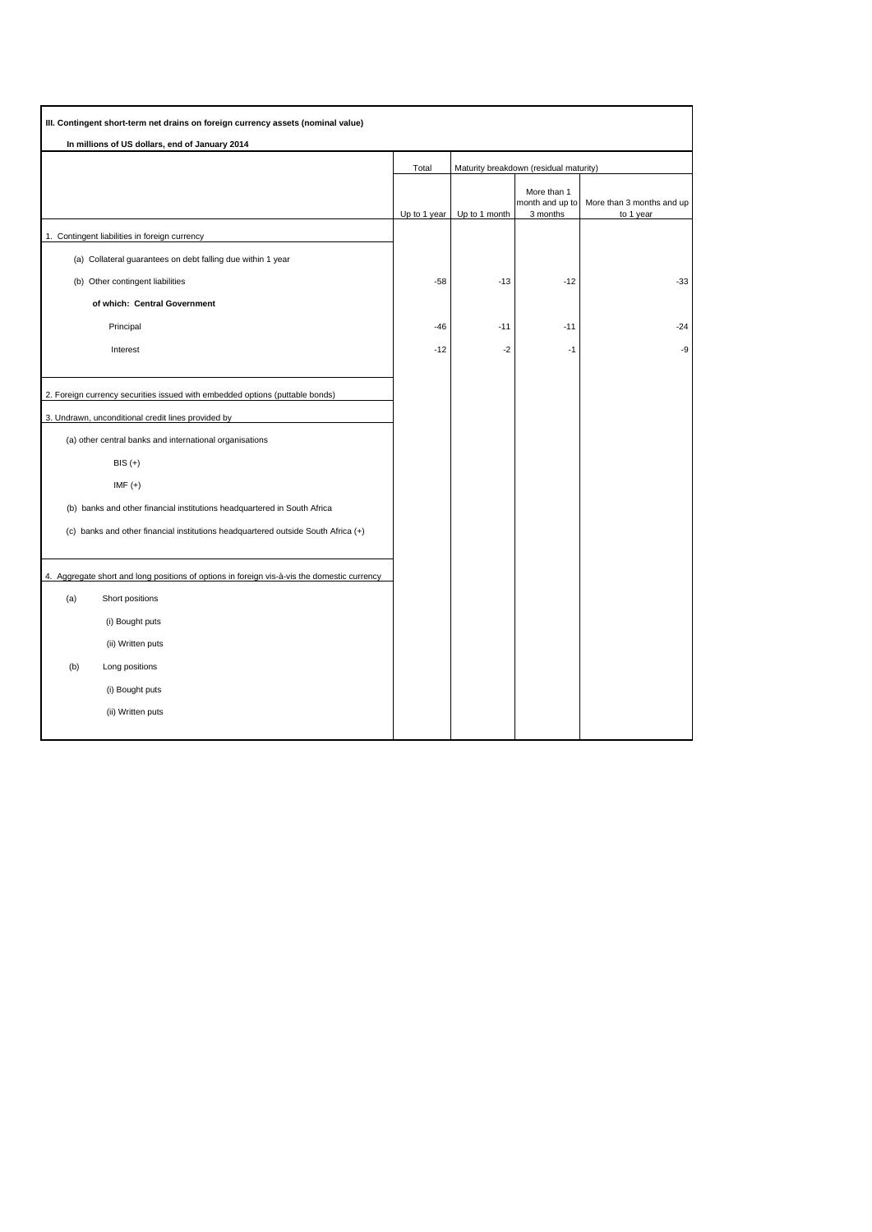| III. Contingent short-term net drains on foreign currency assets (nominal value)            |              |                                        |                                |                           |
|---------------------------------------------------------------------------------------------|--------------|----------------------------------------|--------------------------------|---------------------------|
| In millions of US dollars, end of January 2014                                              |              |                                        |                                |                           |
|                                                                                             | Total        | Maturity breakdown (residual maturity) |                                |                           |
|                                                                                             |              |                                        | More than 1<br>month and up to | More than 3 months and up |
| 1. Contingent liabilities in foreign currency                                               | Up to 1 year | Up to 1 month                          | 3 months                       | to 1 year                 |
| (a) Collateral guarantees on debt falling due within 1 year                                 |              |                                        |                                |                           |
| (b) Other contingent liabilities                                                            | $-58$        | $-13$                                  | $-12$                          | $-33$                     |
| of which: Central Government                                                                |              |                                        |                                |                           |
| Principal                                                                                   | $-46$        | $-11$                                  | $-11$                          | $-24$                     |
| Interest                                                                                    | $-12$        | $-2$                                   | $-1$                           | -9                        |
|                                                                                             |              |                                        |                                |                           |
| 2. Foreign currency securities issued with embedded options (puttable bonds)                |              |                                        |                                |                           |
| 3. Undrawn, unconditional credit lines provided by                                          |              |                                        |                                |                           |
| (a) other central banks and international organisations                                     |              |                                        |                                |                           |
| $BIS (+)$                                                                                   |              |                                        |                                |                           |
| $IMF (+)$                                                                                   |              |                                        |                                |                           |
| (b) banks and other financial institutions headquartered in South Africa                    |              |                                        |                                |                           |
| (c) banks and other financial institutions headquartered outside South Africa (+)           |              |                                        |                                |                           |
|                                                                                             |              |                                        |                                |                           |
| 4. Aggregate short and long positions of options in foreign vis-à-vis the domestic currency |              |                                        |                                |                           |
| (a)<br>Short positions                                                                      |              |                                        |                                |                           |
| (i) Bought puts                                                                             |              |                                        |                                |                           |
| (ii) Written puts                                                                           |              |                                        |                                |                           |
| (b)<br>Long positions                                                                       |              |                                        |                                |                           |
| (i) Bought puts                                                                             |              |                                        |                                |                           |
| (ii) Written puts                                                                           |              |                                        |                                |                           |
|                                                                                             |              |                                        |                                |                           |